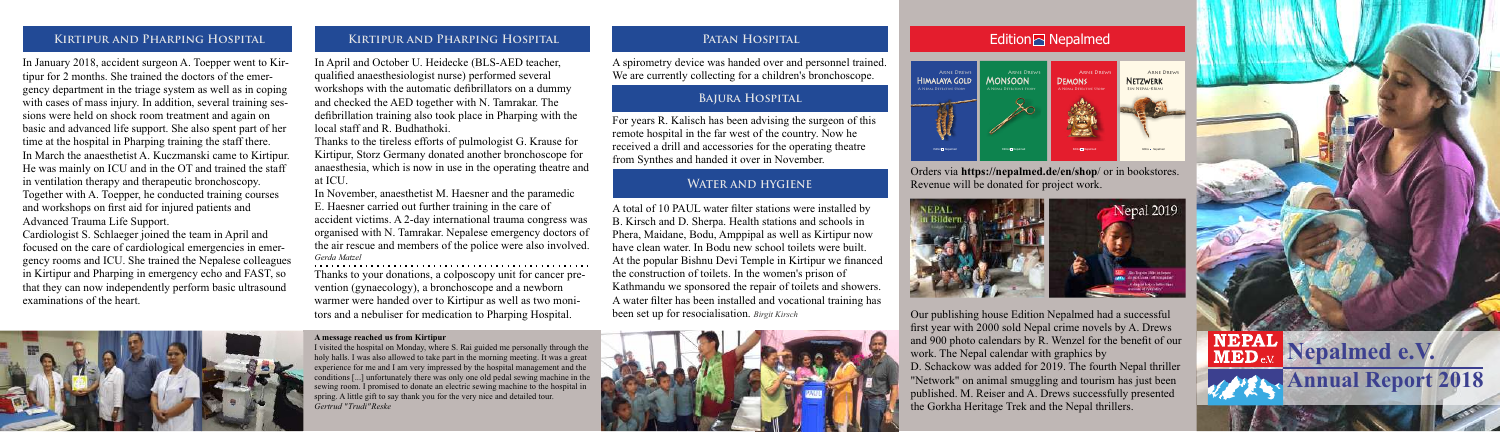# **Patan Hospital**

### **Bajura Hospital**

## **Water and hygiene**

# **Kirtipur and Pharping Hospital Kirtipur and Pharping Hospital**

In January 2018, accident surgeon A. Toepper went to Kirtipur for 2 months. She trained the doctors of the emergency department in the triage system as well as in coping with cases of mass injury. In addition, several training sessions were held on shock room treatment and again on basic and advanced life support. She also spent part of her time at the hospital in Pharping training the staff there. In March the anaesthetist A. Kuczmanski came to Kirtipur. He was mainly on ICU and in the OT and trained the staff in ventilation therapy and therapeutic bronchoscopy. Together with A. Toepper, he conducted training courses and workshops on first aid for injured patients and Advanced Trauma Life Support.

Cardiologist S. Schlaeger joined the team in April and focused on the care of cardiological emergencies in emergency rooms and ICU. She trained the Nepalese colleagues in Kirtipur and Pharping in emergency echo and FAST, so that they can now independently perform basic ultrasound examinations of the heart.



In April and October U. Heidecke (BLS-AED teacher, qualified anaesthesiologist nurse) performed several workshops with the automatic defibrillators on a dummy and checked the AED together with N. Tamrakar. The defibrillation training also took place in Pharping with the local staff and R. Budhathoki.

Thanks to the tireless efforts of pulmologist G. Krause for Kirtipur, Storz Germany donated another bronchoscope for anaesthesia, which is now in use in the operating theatre and at ICU.

In November, anaesthetist M. Haesner and the paramedic E. Haesner carried out further training in the care of accident victims. A 2-day international trauma congress was organised with N. Tamrakar. Nepalese emergency doctors of the air rescue and members of the police were also involved. *Gerda Matzel*

Thanks to your donations, a colposcopy unit for cancer prevention (gynaecology), a bronchoscope and a newborn warmer were handed over to Kirtipur as well as two monitors and a nebuliser for medication to Pharping Hospital.

A total of 10 PAUL water filter stations were installed by B. Kirsch and D. Sherpa. Health stations and schools in Phera, Maidane, Bodu, Amppipal as well as Kirtipur now have clean water. In Bodu new school toilets were built. At the popular Bishnu Devi Temple in Kirtipur we financed the construction of toilets. In the women's prison of Kathmandu we sponsored the repair of toilets and showers. A water filter has been installed and vocational training has been set up for resocialisation. *Birgit Kirsch*



# **Edition** Nepalmed

A spirometry device was handed over and personnel trained. We are currently collecting for a children's bronchoscope.

For years R. Kalisch has been advising the surgeon of this remote hospital in the far west of the country. Now he received a drill and accessories for the operating theatre from Synthes and handed it over in November.

> Our publishing house Edition Nepalmed had a successful first year with 2000 sold Nepal crime novels by A. Drews and 900 photo calendars by R. Wenzel for the benefit of our work. The Nepal calendar with graphics by

> D. Schackow was added for 2019. The fourth Nepal thriller "Network" on animal smuggling and tourism has just been published. M. Reiser and A. Drews successfully presented the Gorkha Heritage Trek and the Nepal thrillers.



#### **A message reached us from Kirtipur**

I visited the hospital on Monday, where S. Rai guided me personally through the holy halls. I was also allowed to take part in the morning meeting. It was a great experience for me and I am very impressed by the hospital management and the conditions [...] unfortunately there was only one old pedal sewing machine in the sewing room. I promised to donate an electric sewing machine to the hospital in spring. A little gift to say thank you for the very nice and detailed tour. *Gertrud " Trudi" Reske*

Orders via **https://nepalmed.de/en/shop**/ or in bookstores. Revenue will be donated for project work.